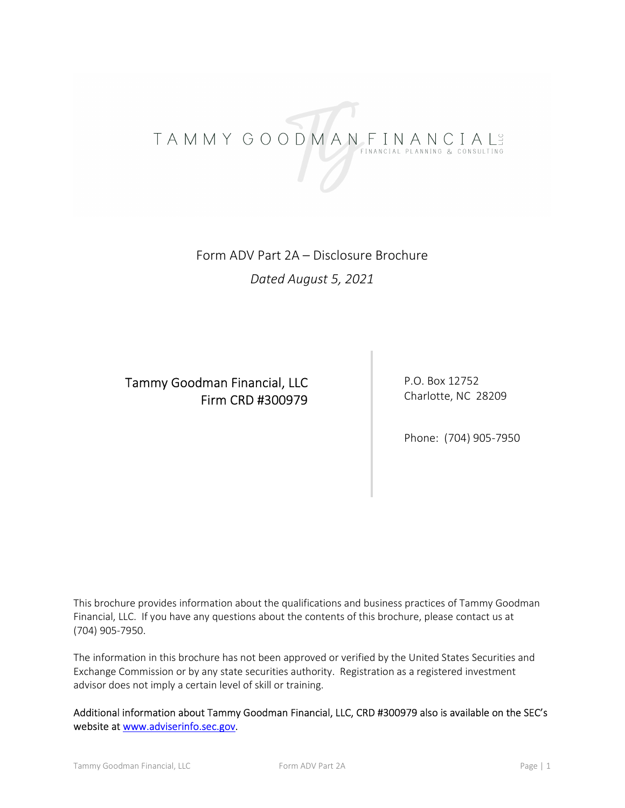# TAMMY GOODMANFINANCIALS

Form ADV Part 2A – Disclosure Brochure Dated August 5, 2021

# Tammy Goodman Financial, LLC Firm CRD #300979

P.O. Box 12752 Charlotte, NC 28209

Phone: (704) 905-7950

This brochure provides information about the qualifications and business practices of Tammy Goodman Financial, LLC. If you have any questions about the contents of this brochure, please contact us at (704) 905-7950.

The information in this brochure has not been approved or verified by the United States Securities and Exchange Commission or by any state securities authority. Registration as a registered investment advisor does not imply a certain level of skill or training.

Additional information about Tammy Goodman Financial, LLC, CRD #300979 also is available on the SEC's website at www.adviserinfo.sec.gov.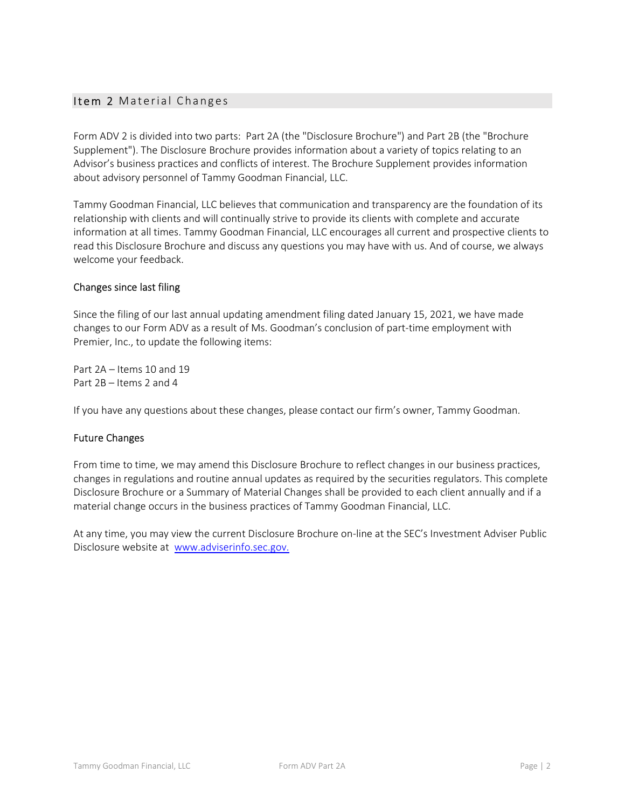### Item 2 Material Changes

Form ADV 2 is divided into two parts: Part 2A (the "Disclosure Brochure") and Part 2B (the "Brochure Supplement"). The Disclosure Brochure provides information about a variety of topics relating to an Advisor's business practices and conflicts of interest. The Brochure Supplement provides information about advisory personnel of Tammy Goodman Financial, LLC.

Tammy Goodman Financial, LLC believes that communication and transparency are the foundation of its relationship with clients and will continually strive to provide its clients with complete and accurate information at all times. Tammy Goodman Financial, LLC encourages all current and prospective clients to read this Disclosure Brochure and discuss any questions you may have with us. And of course, we always welcome your feedback.

### Changes since last filing

Since the filing of our last annual updating amendment filing dated January 15, 2021, we have made changes to our Form ADV as a result of Ms. Goodman's conclusion of part-time employment with Premier, Inc., to update the following items:

Part 2A – Items 10 and 19 Part 2B – Items 2 and 4

If you have any questions about these changes, please contact our firm's owner, Tammy Goodman.

### Future Changes

From time to time, we may amend this Disclosure Brochure to reflect changes in our business practices, changes in regulations and routine annual updates as required by the securities regulators. This complete Disclosure Brochure or a Summary of Material Changes shall be provided to each client annually and if a material change occurs in the business practices of Tammy Goodman Financial, LLC.

At any time, you may view the current Disclosure Brochure on-line at the SEC's Investment Adviser Public Disclosure website at www.adviserinfo.sec.gov.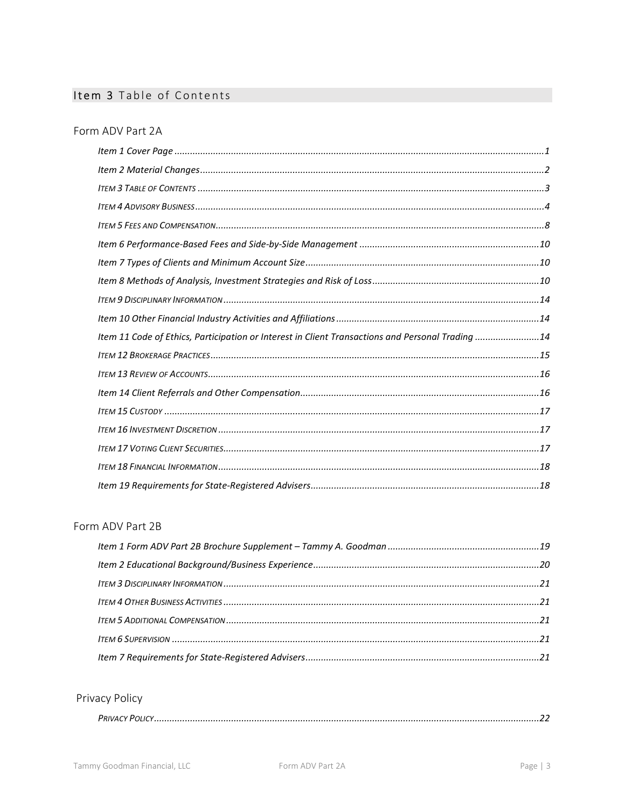## Item 3 Table of Contents

### Form ADV Part 2A

| Item 11 Code of Ethics, Participation or Interest in Client Transactions and Personal Trading 14 |  |
|--------------------------------------------------------------------------------------------------|--|
|                                                                                                  |  |
|                                                                                                  |  |
|                                                                                                  |  |
|                                                                                                  |  |
|                                                                                                  |  |
|                                                                                                  |  |
|                                                                                                  |  |
|                                                                                                  |  |

### Form ADV Part 2B

### Privacy Policy

|--|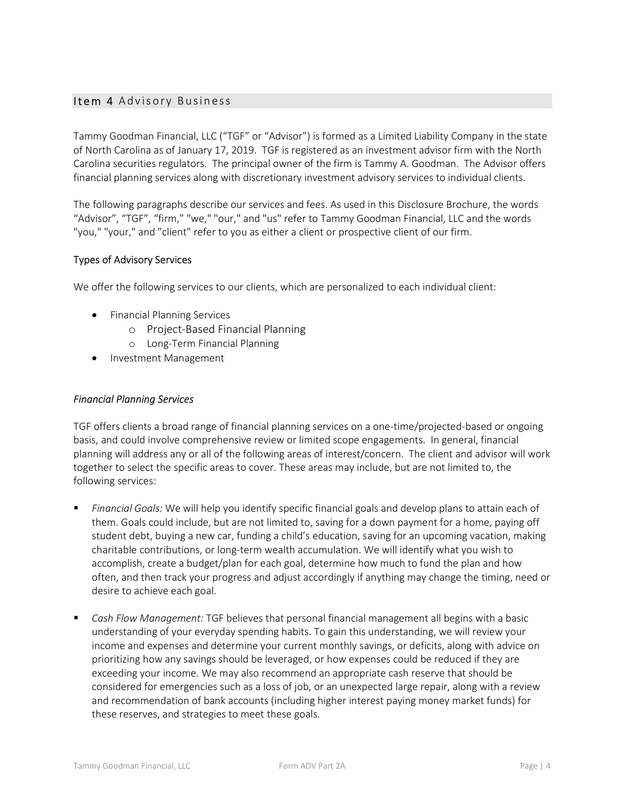### Item 4 Advisory Business

Tammy Goodman Financial, LLC ("TGF" or "Advisor") is formed as a Limited Liability Company in the state of North Carolina as of January 17, 2019. TGF is registered as an investment advisor firm with the North Carolina securities regulators. The principal owner of the firm is Tammy A. Goodman. The Advisor offers financial planning services along with discretionary investment advisory services to individual clients.

The following paragraphs describe our services and fees. As used in this Disclosure Brochure, the words "Advisor", "TGF", "firm," "we," "our," and "us" refer to Tammy Goodman Financial, LLC and the words "you," "your," and "client" refer to you as either a client or prospective client of our firm.

### Types of Advisory Services

We offer the following services to our clients, which are personalized to each individual client:

- **•** Financial Planning Services
	- o Project-Based Financial Planning
	- o Long-Term Financial Planning
- Investment Management

### Financial Planning Services

TGF offers clients a broad range of financial planning services on a one-time/projected-based or ongoing basis, and could involve comprehensive review or limited scope engagements. In general, financial planning will address any or all of the following areas of interest/concern. The client and advisor will work together to select the specific areas to cover. These areas may include, but are not limited to, the following services:

- Financial Goals: We will help you identify specific financial goals and develop plans to attain each of them. Goals could include, but are not limited to, saving for a down payment for a home, paying off student debt, buying a new car, funding a child's education, saving for an upcoming vacation, making charitable contributions, or long-term wealth accumulation. We will identify what you wish to accomplish, create a budget/plan for each goal, determine how much to fund the plan and how often, and then track your progress and adjust accordingly if anything may change the timing, need or desire to achieve each goal.
- **Cash Flow Management: TGF believes that personal financial management all begins with a basic** understanding of your everyday spending habits. To gain this understanding, we will review your income and expenses and determine your current monthly savings, or deficits, along with advice on prioritizing how any savings should be leveraged, or how expenses could be reduced if they are exceeding your income. We may also recommend an appropriate cash reserve that should be considered for emergencies such as a loss of job, or an unexpected large repair, along with a review and recommendation of bank accounts (including higher interest paying money market funds) for these reserves, and strategies to meet these goals.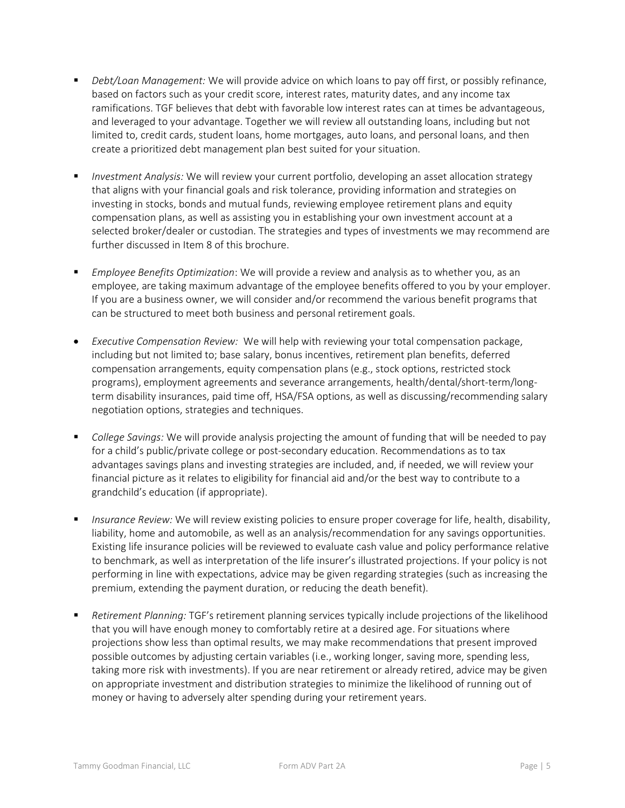- Debt/Loan Management: We will provide advice on which loans to pay off first, or possibly refinance, based on factors such as your credit score, interest rates, maturity dates, and any income tax ramifications. TGF believes that debt with favorable low interest rates can at times be advantageous, and leveraged to your advantage. Together we will review all outstanding loans, including but not limited to, credit cards, student loans, home mortgages, auto loans, and personal loans, and then create a prioritized debt management plan best suited for your situation.
- Investment Analysis: We will review your current portfolio, developing an asset allocation strategy that aligns with your financial goals and risk tolerance, providing information and strategies on investing in stocks, bonds and mutual funds, reviewing employee retirement plans and equity compensation plans, as well as assisting you in establishing your own investment account at a selected broker/dealer or custodian. The strategies and types of investments we may recommend are further discussed in Item 8 of this brochure.
- **Employee Benefits Optimization: We will provide a review and analysis as to whether you, as an** employee, are taking maximum advantage of the employee benefits offered to you by your employer. If you are a business owner, we will consider and/or recommend the various benefit programs that can be structured to meet both business and personal retirement goals.
- Executive Compensation Review: We will help with reviewing your total compensation package, including but not limited to; base salary, bonus incentives, retirement plan benefits, deferred compensation arrangements, equity compensation plans (e.g., stock options, restricted stock programs), employment agreements and severance arrangements, health/dental/short-term/longterm disability insurances, paid time off, HSA/FSA options, as well as discussing/recommending salary negotiation options, strategies and techniques.
- College Savings: We will provide analysis projecting the amount of funding that will be needed to pay for a child's public/private college or post-secondary education. Recommendations as to tax advantages savings plans and investing strategies are included, and, if needed, we will review your financial picture as it relates to eligibility for financial aid and/or the best way to contribute to a grandchild's education (if appropriate).
- Insurance Review: We will review existing policies to ensure proper coverage for life, health, disability, liability, home and automobile, as well as an analysis/recommendation for any savings opportunities. Existing life insurance policies will be reviewed to evaluate cash value and policy performance relative to benchmark, as well as interpretation of the life insurer's illustrated projections. If your policy is not performing in line with expectations, advice may be given regarding strategies (such as increasing the premium, extending the payment duration, or reducing the death benefit).
- Retirement Planning: TGF's retirement planning services typically include projections of the likelihood that you will have enough money to comfortably retire at a desired age. For situations where projections show less than optimal results, we may make recommendations that present improved possible outcomes by adjusting certain variables (i.e., working longer, saving more, spending less, taking more risk with investments). If you are near retirement or already retired, advice may be given on appropriate investment and distribution strategies to minimize the likelihood of running out of money or having to adversely alter spending during your retirement years.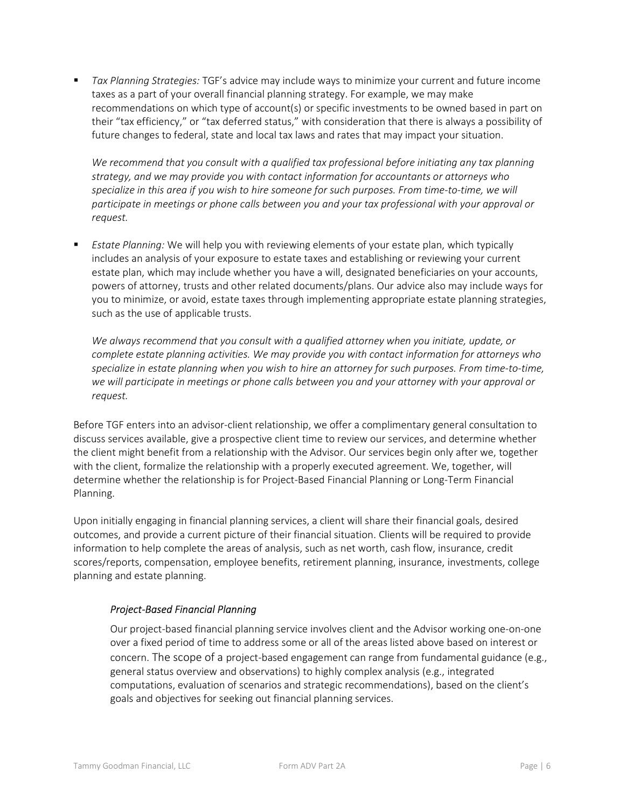**Tax Planning Strategies: TGF's advice may include ways to minimize your current and future income** taxes as a part of your overall financial planning strategy. For example, we may make recommendations on which type of account(s) or specific investments to be owned based in part on their "tax efficiency," or "tax deferred status," with consideration that there is always a possibility of future changes to federal, state and local tax laws and rates that may impact your situation.

We recommend that you consult with a qualified tax professional before initiating any tax planning strategy, and we may provide you with contact information for accountants or attorneys who specialize in this area if you wish to hire someone for such purposes. From time-to-time, we will participate in meetings or phone calls between you and your tax professional with your approval or request.

 Estate Planning: We will help you with reviewing elements of your estate plan, which typically includes an analysis of your exposure to estate taxes and establishing or reviewing your current estate plan, which may include whether you have a will, designated beneficiaries on your accounts, powers of attorney, trusts and other related documents/plans. Our advice also may include ways for you to minimize, or avoid, estate taxes through implementing appropriate estate planning strategies, such as the use of applicable trusts.

We always recommend that you consult with a qualified attorney when you initiate, update, or complete estate planning activities. We may provide you with contact information for attorneys who specialize in estate planning when you wish to hire an attorney for such purposes. From time-to-time, we will participate in meetings or phone calls between you and your attorney with your approval or request.

Before TGF enters into an advisor-client relationship, we offer a complimentary general consultation to discuss services available, give a prospective client time to review our services, and determine whether the client might benefit from a relationship with the Advisor. Our services begin only after we, together with the client, formalize the relationship with a properly executed agreement. We, together, will determine whether the relationship is for Project-Based Financial Planning or Long-Term Financial Planning.

Upon initially engaging in financial planning services, a client will share their financial goals, desired outcomes, and provide a current picture of their financial situation. Clients will be required to provide information to help complete the areas of analysis, such as net worth, cash flow, insurance, credit scores/reports, compensation, employee benefits, retirement planning, insurance, investments, college planning and estate planning.

### Project-Based Financial Planning

Our project-based financial planning service involves client and the Advisor working one-on-one over a fixed period of time to address some or all of the areas listed above based on interest or concern. The scope of a project-based engagement can range from fundamental guidance (e.g., general status overview and observations) to highly complex analysis (e.g., integrated computations, evaluation of scenarios and strategic recommendations), based on the client's goals and objectives for seeking out financial planning services.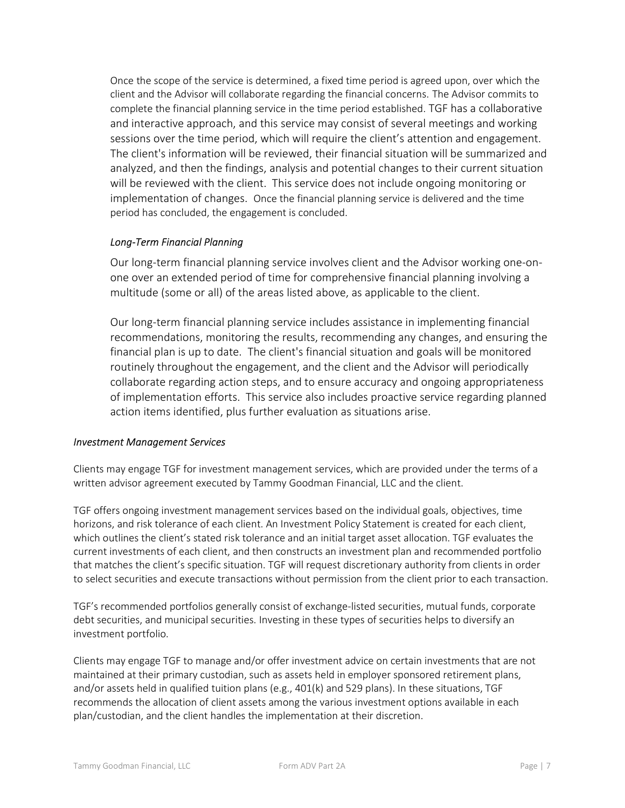Once the scope of the service is determined, a fixed time period is agreed upon, over which the client and the Advisor will collaborate regarding the financial concerns. The Advisor commits to complete the financial planning service in the time period established. TGF has a collaborative and interactive approach, and this service may consist of several meetings and working sessions over the time period, which will require the client's attention and engagement. The client's information will be reviewed, their financial situation will be summarized and analyzed, and then the findings, analysis and potential changes to their current situation will be reviewed with the client. This service does not include ongoing monitoring or implementation of changes. Once the financial planning service is delivered and the time period has concluded, the engagement is concluded.

### Long-Term Financial Planning

Our long-term financial planning service involves client and the Advisor working one-onone over an extended period of time for comprehensive financial planning involving a multitude (some or all) of the areas listed above, as applicable to the client.

Our long-term financial planning service includes assistance in implementing financial recommendations, monitoring the results, recommending any changes, and ensuring the financial plan is up to date. The client's financial situation and goals will be monitored routinely throughout the engagement, and the client and the Advisor will periodically collaborate regarding action steps, and to ensure accuracy and ongoing appropriateness of implementation efforts. This service also includes proactive service regarding planned action items identified, plus further evaluation as situations arise.

### Investment Management Services

Clients may engage TGF for investment management services, which are provided under the terms of a written advisor agreement executed by Tammy Goodman Financial, LLC and the client.

TGF offers ongoing investment management services based on the individual goals, objectives, time horizons, and risk tolerance of each client. An Investment Policy Statement is created for each client, which outlines the client's stated risk tolerance and an initial target asset allocation. TGF evaluates the current investments of each client, and then constructs an investment plan and recommended portfolio that matches the client's specific situation. TGF will request discretionary authority from clients in order to select securities and execute transactions without permission from the client prior to each transaction.

TGF's recommended portfolios generally consist of exchange-listed securities, mutual funds, corporate debt securities, and municipal securities. Investing in these types of securities helps to diversify an investment portfolio.

Clients may engage TGF to manage and/or offer investment advice on certain investments that are not maintained at their primary custodian, such as assets held in employer sponsored retirement plans, and/or assets held in qualified tuition plans (e.g., 401(k) and 529 plans). In these situations, TGF recommends the allocation of client assets among the various investment options available in each plan/custodian, and the client handles the implementation at their discretion.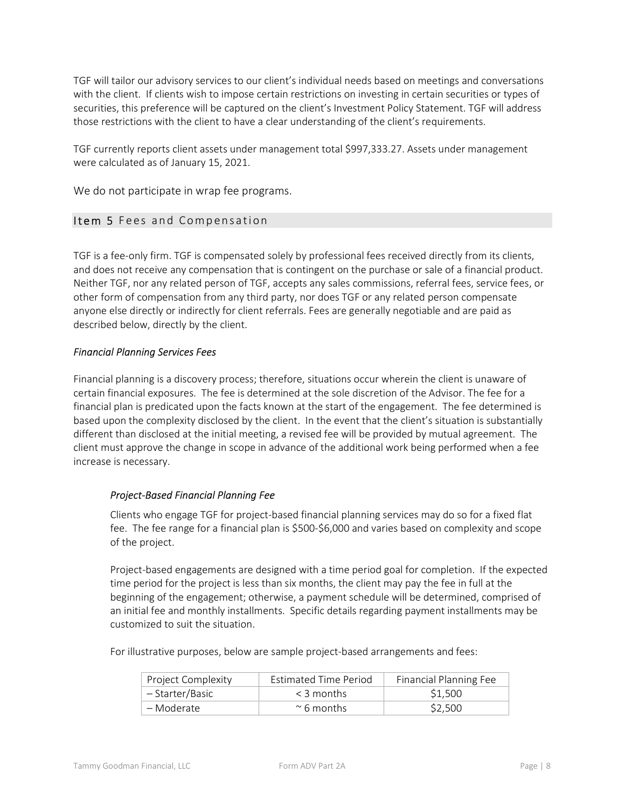TGF will tailor our advisory services to our client's individual needs based on meetings and conversations with the client. If clients wish to impose certain restrictions on investing in certain securities or types of securities, this preference will be captured on the client's Investment Policy Statement. TGF will address those restrictions with the client to have a clear understanding of the client's requirements.

TGF currently reports client assets under management total \$997,333.27. Assets under management were calculated as of January 15, 2021.

We do not participate in wrap fee programs.

### Item 5 Fees and Compensation

TGF is a fee-only firm. TGF is compensated solely by professional fees received directly from its clients, and does not receive any compensation that is contingent on the purchase or sale of a financial product. Neither TGF, nor any related person of TGF, accepts any sales commissions, referral fees, service fees, or other form of compensation from any third party, nor does TGF or any related person compensate anyone else directly or indirectly for client referrals. Fees are generally negotiable and are paid as described below, directly by the client.

### Financial Planning Services Fees

Financial planning is a discovery process; therefore, situations occur wherein the client is unaware of certain financial exposures. The fee is determined at the sole discretion of the Advisor. The fee for a financial plan is predicated upon the facts known at the start of the engagement. The fee determined is based upon the complexity disclosed by the client. In the event that the client's situation is substantially different than disclosed at the initial meeting, a revised fee will be provided by mutual agreement. The client must approve the change in scope in advance of the additional work being performed when a fee increase is necessary.

### Project-Based Financial Planning Fee

Clients who engage TGF for project-based financial planning services may do so for a fixed flat fee. The fee range for a financial plan is \$500-\$6,000 and varies based on complexity and scope of the project.

Project-based engagements are designed with a time period goal for completion. If the expected time period for the project is less than six months, the client may pay the fee in full at the beginning of the engagement; otherwise, a payment schedule will be determined, comprised of an initial fee and monthly installments. Specific details regarding payment installments may be customized to suit the situation.

For illustrative purposes, below are sample project-based arrangements and fees:

| Project Complexity | Estimated Time Period | <b>Financial Planning Fee</b> |
|--------------------|-----------------------|-------------------------------|
| – Starter/Basic    | $<$ 3 months          | \$1.500                       |
| – Moderate         | $\sim$ 6 months       | \$2,500                       |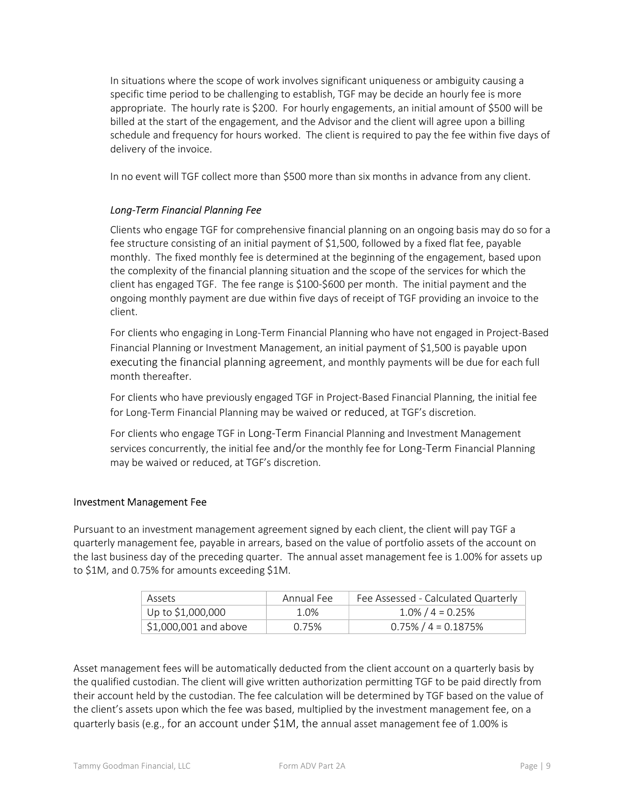In situations where the scope of work involves significant uniqueness or ambiguity causing a specific time period to be challenging to establish, TGF may be decide an hourly fee is more appropriate. The hourly rate is \$200. For hourly engagements, an initial amount of \$500 will be billed at the start of the engagement, and the Advisor and the client will agree upon a billing schedule and frequency for hours worked. The client is required to pay the fee within five days of delivery of the invoice.

In no event will TGF collect more than \$500 more than six months in advance from any client.

### Long-Term Financial Planning Fee

Clients who engage TGF for comprehensive financial planning on an ongoing basis may do so for a fee structure consisting of an initial payment of \$1,500, followed by a fixed flat fee, payable monthly. The fixed monthly fee is determined at the beginning of the engagement, based upon the complexity of the financial planning situation and the scope of the services for which the client has engaged TGF. The fee range is \$100-\$600 per month. The initial payment and the ongoing monthly payment are due within five days of receipt of TGF providing an invoice to the client.

For clients who engaging in Long-Term Financial Planning who have not engaged in Project-Based Financial Planning or Investment Management, an initial payment of \$1,500 is payable upon executing the financial planning agreement, and monthly payments will be due for each full month thereafter.

For clients who have previously engaged TGF in Project-Based Financial Planning, the initial fee for Long-Term Financial Planning may be waived or reduced, at TGF's discretion.

For clients who engage TGF in Long-Term Financial Planning and Investment Management services concurrently, the initial fee and/or the monthly fee for Long-Term Financial Planning may be waived or reduced, at TGF's discretion.

### Investment Management Fee

Pursuant to an investment management agreement signed by each client, the client will pay TGF a quarterly management fee, payable in arrears, based on the value of portfolio assets of the account on the last business day of the preceding quarter. The annual asset management fee is 1.00% for assets up to \$1M, and 0.75% for amounts exceeding \$1M.

| Assets                              | Annual Fee | Fee Assessed - Calculated Quarterly |
|-------------------------------------|------------|-------------------------------------|
| Up to \$1,000,000                   | 1.0%       | $1.0\%$ / 4 = 0.25%                 |
| $\frac{1}{2}$ \$1,000,001 and above | 0.75%      | $0.75\%$ / 4 = 0.1875%              |

Asset management fees will be automatically deducted from the client account on a quarterly basis by the qualified custodian. The client will give written authorization permitting TGF to be paid directly from their account held by the custodian. The fee calculation will be determined by TGF based on the value of the client's assets upon which the fee was based, multiplied by the investment management fee, on a quarterly basis (e.g., for an account under \$1M, the annual asset management fee of 1.00% is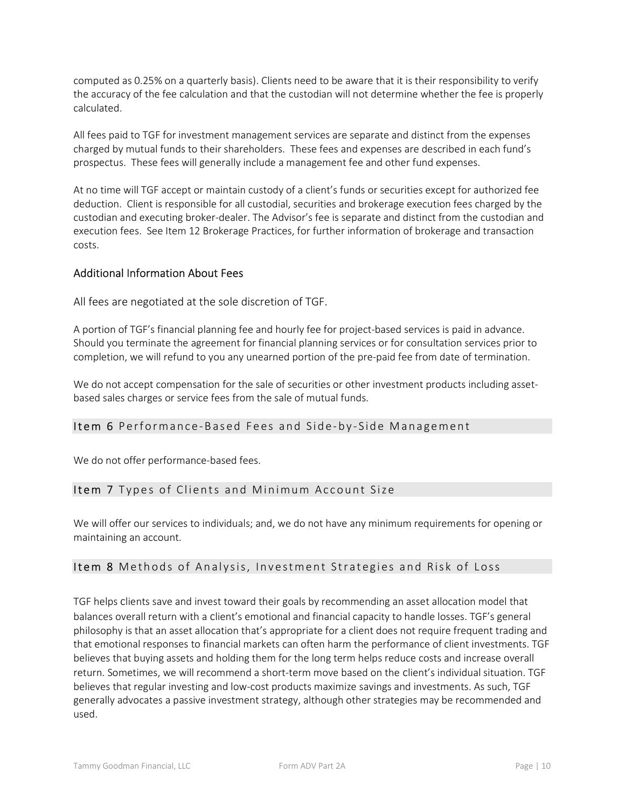computed as 0.25% on a quarterly basis). Clients need to be aware that it is their responsibility to verify the accuracy of the fee calculation and that the custodian will not determine whether the fee is properly calculated.

All fees paid to TGF for investment management services are separate and distinct from the expenses charged by mutual funds to their shareholders. These fees and expenses are described in each fund's prospectus. These fees will generally include a management fee and other fund expenses.

At no time will TGF accept or maintain custody of a client's funds or securities except for authorized fee deduction. Client is responsible for all custodial, securities and brokerage execution fees charged by the custodian and executing broker-dealer. The Advisor's fee is separate and distinct from the custodian and execution fees. See Item 12 Brokerage Practices, for further information of brokerage and transaction costs.

### Additional Information About Fees

All fees are negotiated at the sole discretion of TGF.

A portion of TGF's financial planning fee and hourly fee for project-based services is paid in advance. Should you terminate the agreement for financial planning services or for consultation services prior to completion, we will refund to you any unearned portion of the pre-paid fee from date of termination.

We do not accept compensation for the sale of securities or other investment products including assetbased sales charges or service fees from the sale of mutual funds.

### Item 6 Performance-Based Fees and Side-by-Side Management

We do not offer performance-based fees.

### Item 7 Types of Clients and Minimum Account Size

We will offer our services to individuals; and, we do not have any minimum requirements for opening or maintaining an account.

### Item 8 Methods of Analysis, Investment Strategies and Risk of Loss

TGF helps clients save and invest toward their goals by recommending an asset allocation model that balances overall return with a client's emotional and financial capacity to handle losses. TGF's general philosophy is that an asset allocation that's appropriate for a client does not require frequent trading and that emotional responses to financial markets can often harm the performance of client investments. TGF believes that buying assets and holding them for the long term helps reduce costs and increase overall return. Sometimes, we will recommend a short-term move based on the client's individual situation. TGF believes that regular investing and low-cost products maximize savings and investments. As such, TGF generally advocates a passive investment strategy, although other strategies may be recommended and used.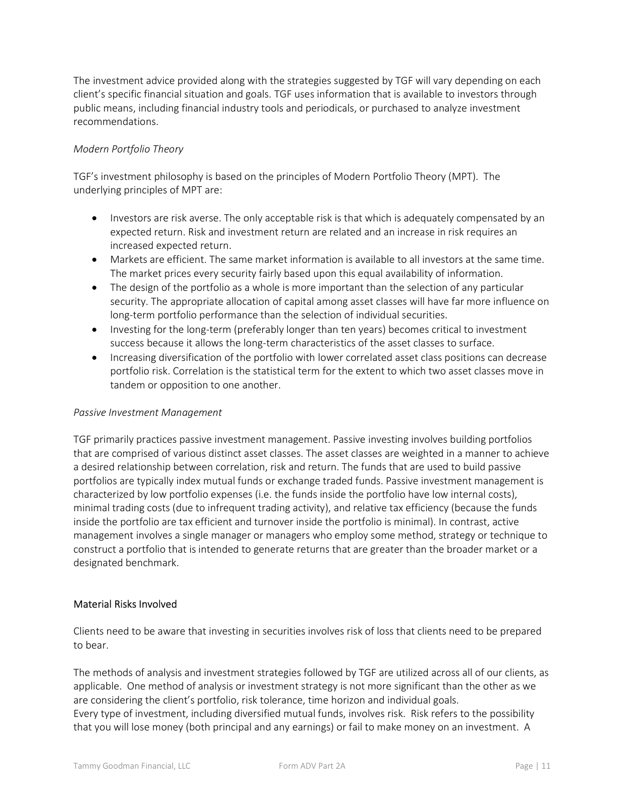The investment advice provided along with the strategies suggested by TGF will vary depending on each client's specific financial situation and goals. TGF uses information that is available to investors through public means, including financial industry tools and periodicals, or purchased to analyze investment recommendations.

### Modern Portfolio Theory

TGF's investment philosophy is based on the principles of Modern Portfolio Theory (MPT). The underlying principles of MPT are:

- Investors are risk averse. The only acceptable risk is that which is adequately compensated by an expected return. Risk and investment return are related and an increase in risk requires an increased expected return.
- Markets are efficient. The same market information is available to all investors at the same time. The market prices every security fairly based upon this equal availability of information.
- The design of the portfolio as a whole is more important than the selection of any particular security. The appropriate allocation of capital among asset classes will have far more influence on long-term portfolio performance than the selection of individual securities.
- Investing for the long-term (preferably longer than ten years) becomes critical to investment success because it allows the long-term characteristics of the asset classes to surface.
- Increasing diversification of the portfolio with lower correlated asset class positions can decrease portfolio risk. Correlation is the statistical term for the extent to which two asset classes move in tandem or opposition to one another.

### Passive Investment Management

TGF primarily practices passive investment management. Passive investing involves building portfolios that are comprised of various distinct asset classes. The asset classes are weighted in a manner to achieve a desired relationship between correlation, risk and return. The funds that are used to build passive portfolios are typically index mutual funds or exchange traded funds. Passive investment management is characterized by low portfolio expenses (i.e. the funds inside the portfolio have low internal costs), minimal trading costs (due to infrequent trading activity), and relative tax efficiency (because the funds inside the portfolio are tax efficient and turnover inside the portfolio is minimal). In contrast, active management involves a single manager or managers who employ some method, strategy or technique to construct a portfolio that is intended to generate returns that are greater than the broader market or a designated benchmark.

### Material Risks Involved

Clients need to be aware that investing in securities involves risk of loss that clients need to be prepared to bear.

The methods of analysis and investment strategies followed by TGF are utilized across all of our clients, as applicable. One method of analysis or investment strategy is not more significant than the other as we are considering the client's portfolio, risk tolerance, time horizon and individual goals. Every type of investment, including diversified mutual funds, involves risk. Risk refers to the possibility that you will lose money (both principal and any earnings) or fail to make money on an investment. A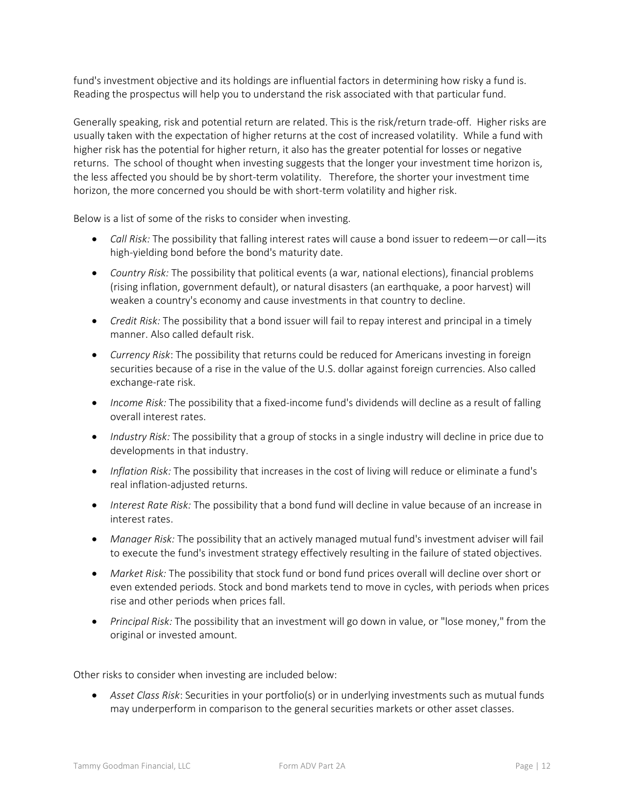fund's investment objective and its holdings are influential factors in determining how risky a fund is. Reading the prospectus will help you to understand the risk associated with that particular fund.

Generally speaking, risk and potential return are related. This is the risk/return trade-off. Higher risks are usually taken with the expectation of higher returns at the cost of increased volatility. While a fund with higher risk has the potential for higher return, it also has the greater potential for losses or negative returns. The school of thought when investing suggests that the longer your investment time horizon is, the less affected you should be by short-term volatility. Therefore, the shorter your investment time horizon, the more concerned you should be with short-term volatility and higher risk.

Below is a list of some of the risks to consider when investing.

- $\bullet$  Call Risk: The possibility that falling interest rates will cause a bond issuer to redeem—or call—its high-yielding bond before the bond's maturity date.
- Country Risk: The possibility that political events (a war, national elections), financial problems (rising inflation, government default), or natural disasters (an earthquake, a poor harvest) will weaken a country's economy and cause investments in that country to decline.
- Credit Risk: The possibility that a bond issuer will fail to repay interest and principal in a timely manner. Also called default risk.
- Currency Risk: The possibility that returns could be reduced for Americans investing in foreign securities because of a rise in the value of the U.S. dollar against foreign currencies. Also called exchange-rate risk.
- Income Risk: The possibility that a fixed-income fund's dividends will decline as a result of falling overall interest rates.
- Industry Risk: The possibility that a group of stocks in a single industry will decline in price due to developments in that industry.
- Inflation Risk: The possibility that increases in the cost of living will reduce or eliminate a fund's real inflation-adjusted returns.
- Interest Rate Risk: The possibility that a bond fund will decline in value because of an increase in interest rates.
- Manager Risk: The possibility that an actively managed mutual fund's investment adviser will fail to execute the fund's investment strategy effectively resulting in the failure of stated objectives.
- Market Risk: The possibility that stock fund or bond fund prices overall will decline over short or even extended periods. Stock and bond markets tend to move in cycles, with periods when prices rise and other periods when prices fall.
- Principal Risk: The possibility that an investment will go down in value, or "lose money," from the original or invested amount.

Other risks to consider when investing are included below:

 Asset Class Risk: Securities in your portfolio(s) or in underlying investments such as mutual funds may underperform in comparison to the general securities markets or other asset classes.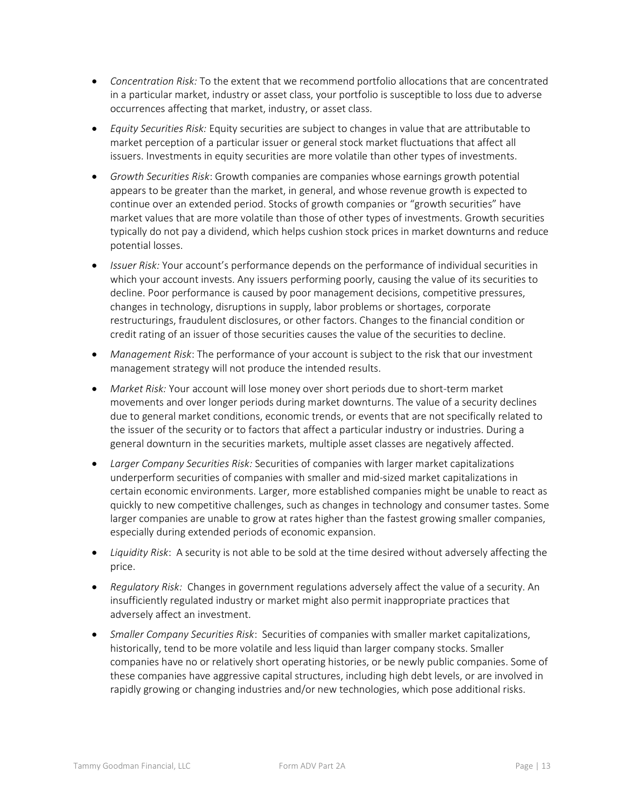- Concentration Risk: To the extent that we recommend portfolio allocations that are concentrated in a particular market, industry or asset class, your portfolio is susceptible to loss due to adverse occurrences affecting that market, industry, or asset class.
- **Equity Securities Risk: Equity securities are subject to changes in value that are attributable to** market perception of a particular issuer or general stock market fluctuations that affect all issuers. Investments in equity securities are more volatile than other types of investments.
- Growth Securities Risk: Growth companies are companies whose earnings growth potential appears to be greater than the market, in general, and whose revenue growth is expected to continue over an extended period. Stocks of growth companies or "growth securities" have market values that are more volatile than those of other types of investments. Growth securities typically do not pay a dividend, which helps cushion stock prices in market downturns and reduce potential losses.
- Issuer Risk: Your account's performance depends on the performance of individual securities in which your account invests. Any issuers performing poorly, causing the value of its securities to decline. Poor performance is caused by poor management decisions, competitive pressures, changes in technology, disruptions in supply, labor problems or shortages, corporate restructurings, fraudulent disclosures, or other factors. Changes to the financial condition or credit rating of an issuer of those securities causes the value of the securities to decline.
- Management Risk: The performance of your account is subject to the risk that our investment management strategy will not produce the intended results.
- Market Risk: Your account will lose money over short periods due to short-term market movements and over longer periods during market downturns. The value of a security declines due to general market conditions, economic trends, or events that are not specifically related to the issuer of the security or to factors that affect a particular industry or industries. During a general downturn in the securities markets, multiple asset classes are negatively affected.
- Larger Company Securities Risk: Securities of companies with larger market capitalizations underperform securities of companies with smaller and mid-sized market capitalizations in certain economic environments. Larger, more established companies might be unable to react as quickly to new competitive challenges, such as changes in technology and consumer tastes. Some larger companies are unable to grow at rates higher than the fastest growing smaller companies, especially during extended periods of economic expansion.
- Liquidity Risk: A security is not able to be sold at the time desired without adversely affecting the price.
- Regulatory Risk: Changes in government regulations adversely affect the value of a security. An insufficiently regulated industry or market might also permit inappropriate practices that adversely affect an investment.
- Smaller Company Securities Risk: Securities of companies with smaller market capitalizations, historically, tend to be more volatile and less liquid than larger company stocks. Smaller companies have no or relatively short operating histories, or be newly public companies. Some of these companies have aggressive capital structures, including high debt levels, or are involved in rapidly growing or changing industries and/or new technologies, which pose additional risks.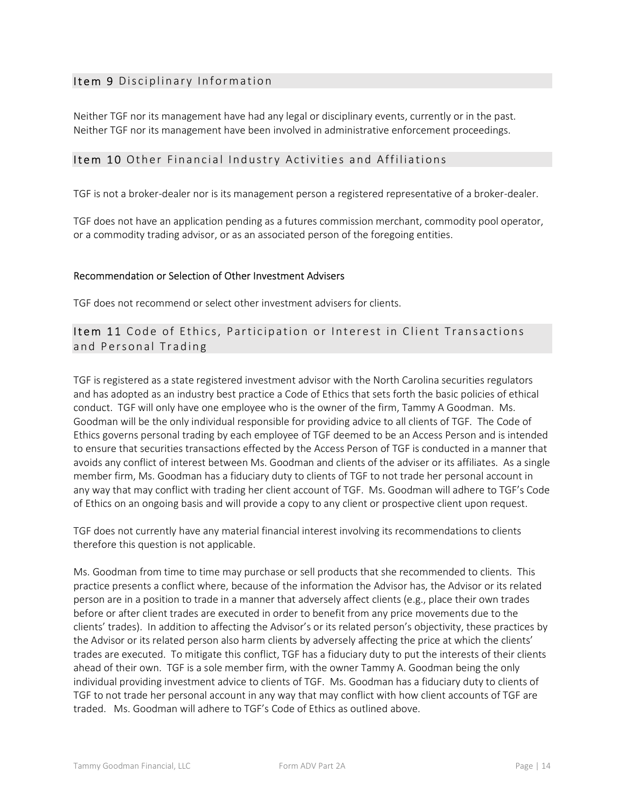### Item 9 Disciplinary Information

Neither TGF nor its management have had any legal or disciplinary events, currently or in the past. Neither TGF nor its management have been involved in administrative enforcement proceedings.

### Item 10 Other Financial Industry Activities and Affiliations

TGF is not a broker-dealer nor is its management person a registered representative of a broker-dealer.

TGF does not have an application pending as a futures commission merchant, commodity pool operator, or a commodity trading advisor, or as an associated person of the foregoing entities.

### Recommendation or Selection of Other Investment Advisers

TGF does not recommend or select other investment advisers for clients.

Item 11 Code of Ethics, Participation or Interest in Client Transactions and Personal Trading

TGF is registered as a state registered investment advisor with the North Carolina securities regulators and has adopted as an industry best practice a Code of Ethics that sets forth the basic policies of ethical conduct. TGF will only have one employee who is the owner of the firm, Tammy A Goodman. Ms. Goodman will be the only individual responsible for providing advice to all clients of TGF. The Code of Ethics governs personal trading by each employee of TGF deemed to be an Access Person and is intended to ensure that securities transactions effected by the Access Person of TGF is conducted in a manner that avoids any conflict of interest between Ms. Goodman and clients of the adviser or its affiliates. As a single member firm, Ms. Goodman has a fiduciary duty to clients of TGF to not trade her personal account in any way that may conflict with trading her client account of TGF. Ms. Goodman will adhere to TGF's Code of Ethics on an ongoing basis and will provide a copy to any client or prospective client upon request.

TGF does not currently have any material financial interest involving its recommendations to clients therefore this question is not applicable.

Ms. Goodman from time to time may purchase or sell products that she recommended to clients. This practice presents a conflict where, because of the information the Advisor has, the Advisor or its related person are in a position to trade in a manner that adversely affect clients (e.g., place their own trades before or after client trades are executed in order to benefit from any price movements due to the clients' trades). In addition to affecting the Advisor's or its related person's objectivity, these practices by the Advisor or its related person also harm clients by adversely affecting the price at which the clients' trades are executed. To mitigate this conflict, TGF has a fiduciary duty to put the interests of their clients ahead of their own. TGF is a sole member firm, with the owner Tammy A. Goodman being the only individual providing investment advice to clients of TGF. Ms. Goodman has a fiduciary duty to clients of TGF to not trade her personal account in any way that may conflict with how client accounts of TGF are traded. Ms. Goodman will adhere to TGF's Code of Ethics as outlined above.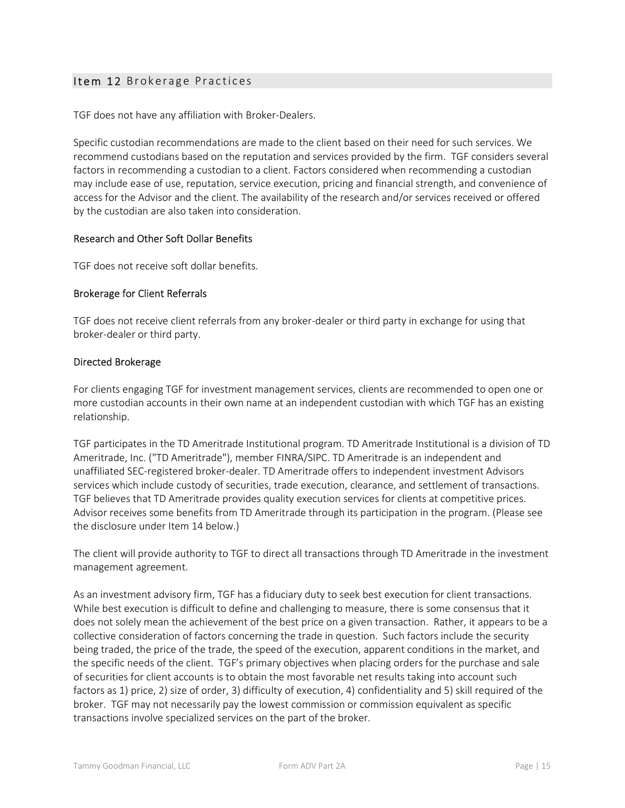### Item 12 Brokerage Practices

TGF does not have any affiliation with Broker-Dealers.

Specific custodian recommendations are made to the client based on their need for such services. We recommend custodians based on the reputation and services provided by the firm. TGF considers several factors in recommending a custodian to a client. Factors considered when recommending a custodian may include ease of use, reputation, service execution, pricing and financial strength, and convenience of access for the Advisor and the client. The availability of the research and/or services received or offered by the custodian are also taken into consideration.

### Research and Other Soft Dollar Benefits

TGF does not receive soft dollar benefits.

### Brokerage for Client Referrals

TGF does not receive client referrals from any broker-dealer or third party in exchange for using that broker-dealer or third party.

### Directed Brokerage

For clients engaging TGF for investment management services, clients are recommended to open one or more custodian accounts in their own name at an independent custodian with which TGF has an existing relationship.

TGF participates in the TD Ameritrade Institutional program. TD Ameritrade Institutional is a division of TD Ameritrade, Inc. ("TD Ameritrade"), member FINRA/SIPC. TD Ameritrade is an independent and unaffiliated SEC-registered broker-dealer. TD Ameritrade offers to independent investment Advisors services which include custody of securities, trade execution, clearance, and settlement of transactions. TGF believes that TD Ameritrade provides quality execution services for clients at competitive prices. Advisor receives some benefits from TD Ameritrade through its participation in the program. (Please see the disclosure under Item 14 below.)

The client will provide authority to TGF to direct all transactions through TD Ameritrade in the investment management agreement.

As an investment advisory firm, TGF has a fiduciary duty to seek best execution for client transactions. While best execution is difficult to define and challenging to measure, there is some consensus that it does not solely mean the achievement of the best price on a given transaction. Rather, it appears to be a collective consideration of factors concerning the trade in question. Such factors include the security being traded, the price of the trade, the speed of the execution, apparent conditions in the market, and the specific needs of the client. TGF's primary objectives when placing orders for the purchase and sale of securities for client accounts is to obtain the most favorable net results taking into account such factors as 1) price, 2) size of order, 3) difficulty of execution, 4) confidentiality and 5) skill required of the broker. TGF may not necessarily pay the lowest commission or commission equivalent as specific transactions involve specialized services on the part of the broker.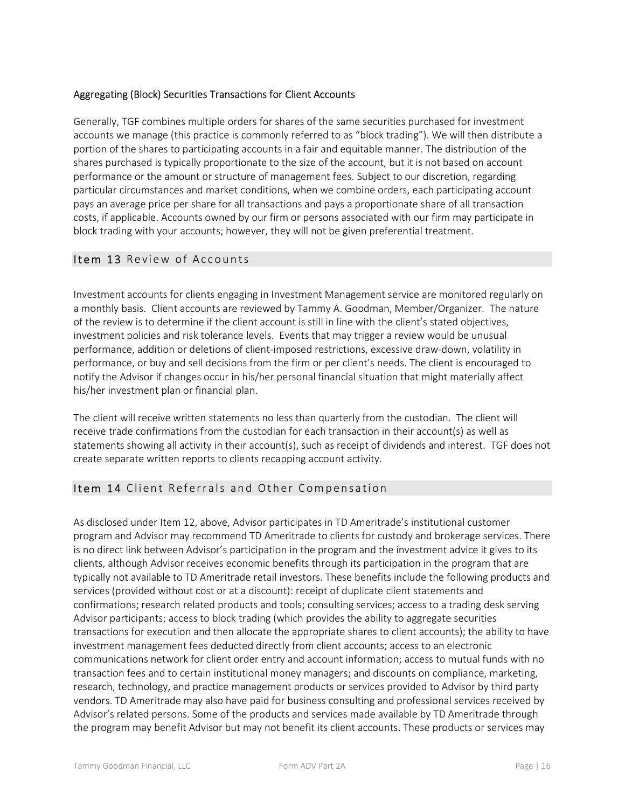### Aggregating (Block) Securities Transactions for Client Accounts

Generally, TGF combines multiple orders for shares of the same securities purchased for investment accounts we manage (this practice is commonly referred to as "block trading"). We will then distribute a portion of the shares to participating accounts in a fair and equitable manner. The distribution of the shares purchased is typically proportionate to the size of the account, but it is not based on account performance or the amount or structure of management fees. Subject to our discretion, regarding particular circumstances and market conditions, when we combine orders, each participating account pays an average price per share for all transactions and pays a proportionate share of all transaction costs, if applicable. Accounts owned by our firm or persons associated with our firm may participate in block trading with your accounts; however, they will not be given preferential treatment.

### Item 13 Review of Accounts

Investment accounts for clients engaging in Investment Management service are monitored regularly on a monthly basis. Client accounts are reviewed by Tammy A. Goodman, Member/Organizer. The nature of the review is to determine if the client account is still in line with the client's stated objectives, investment policies and risk tolerance levels. Events that may trigger a review would be unusual performance, addition or deletions of client-imposed restrictions, excessive draw-down, volatility in performance, or buy and sell decisions from the firm or per client's needs. The client is encouraged to notify the Advisor if changes occur in his/her personal financial situation that might materially affect his/her investment plan or financial plan.

The client will receive written statements no less than quarterly from the custodian. The client will receive trade confirmations from the custodian for each transaction in their account(s) as well as statements showing all activity in their account(s), such as receipt of dividends and interest. TGF does not create separate written reports to clients recapping account activity.

### Item 14 Client Referrals and Other Compensation

As disclosed under Item 12, above, Advisor participates in TD Ameritrade's institutional customer program and Advisor may recommend TD Ameritrade to clients for custody and brokerage services. There is no direct link between Advisor's participation in the program and the investment advice it gives to its clients, although Advisor receives economic benefits through its participation in the program that are typically not available to TD Ameritrade retail investors. These benefits include the following products and services (provided without cost or at a discount): receipt of duplicate client statements and confirmations; research related products and tools; consulting services; access to a trading desk serving Advisor participants; access to block trading (which provides the ability to aggregate securities transactions for execution and then allocate the appropriate shares to client accounts); the ability to have investment management fees deducted directly from client accounts; access to an electronic communications network for client order entry and account information; access to mutual funds with no transaction fees and to certain institutional money managers; and discounts on compliance, marketing, research, technology, and practice management products or services provided to Advisor by third party vendors. TD Ameritrade may also have paid for business consulting and professional services received by Advisor's related persons. Some of the products and services made available by TD Ameritrade through the program may benefit Advisor but may not benefit its client accounts. These products or services may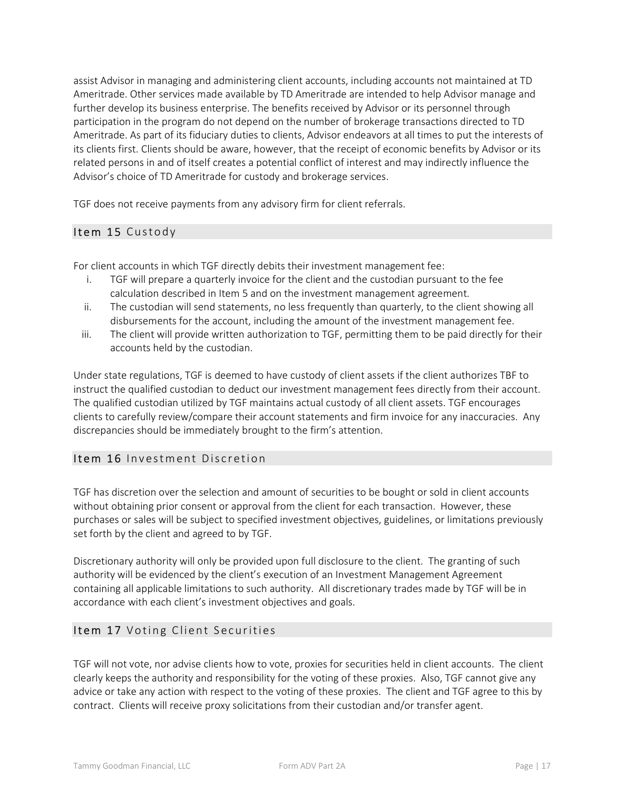assist Advisor in managing and administering client accounts, including accounts not maintained at TD Ameritrade. Other services made available by TD Ameritrade are intended to help Advisor manage and further develop its business enterprise. The benefits received by Advisor or its personnel through participation in the program do not depend on the number of brokerage transactions directed to TD Ameritrade. As part of its fiduciary duties to clients, Advisor endeavors at all times to put the interests of its clients first. Clients should be aware, however, that the receipt of economic benefits by Advisor or its related persons in and of itself creates a potential conflict of interest and may indirectly influence the Advisor's choice of TD Ameritrade for custody and brokerage services.

TGF does not receive payments from any advisory firm for client referrals.

### Item 15 Custody

For client accounts in which TGF directly debits their investment management fee:

- i. TGF will prepare a quarterly invoice for the client and the custodian pursuant to the fee calculation described in Item 5 and on the investment management agreement.
- ii. The custodian will send statements, no less frequently than quarterly, to the client showing all disbursements for the account, including the amount of the investment management fee.
- iii. The client will provide written authorization to TGF, permitting them to be paid directly for their accounts held by the custodian.

Under state regulations, TGF is deemed to have custody of client assets if the client authorizes TBF to instruct the qualified custodian to deduct our investment management fees directly from their account. The qualified custodian utilized by TGF maintains actual custody of all client assets. TGF encourages clients to carefully review/compare their account statements and firm invoice for any inaccuracies. Any discrepancies should be immediately brought to the firm's attention.

### Item 16 Investment Discretion

TGF has discretion over the selection and amount of securities to be bought or sold in client accounts without obtaining prior consent or approval from the client for each transaction. However, these purchases or sales will be subject to specified investment objectives, guidelines, or limitations previously set forth by the client and agreed to by TGF.

Discretionary authority will only be provided upon full disclosure to the client. The granting of such authority will be evidenced by the client's execution of an Investment Management Agreement containing all applicable limitations to such authority. All discretionary trades made by TGF will be in accordance with each client's investment objectives and goals.

### Item 17 Voting Client Securities

TGF will not vote, nor advise clients how to vote, proxies for securities held in client accounts. The client clearly keeps the authority and responsibility for the voting of these proxies. Also, TGF cannot give any advice or take any action with respect to the voting of these proxies. The client and TGF agree to this by contract. Clients will receive proxy solicitations from their custodian and/or transfer agent.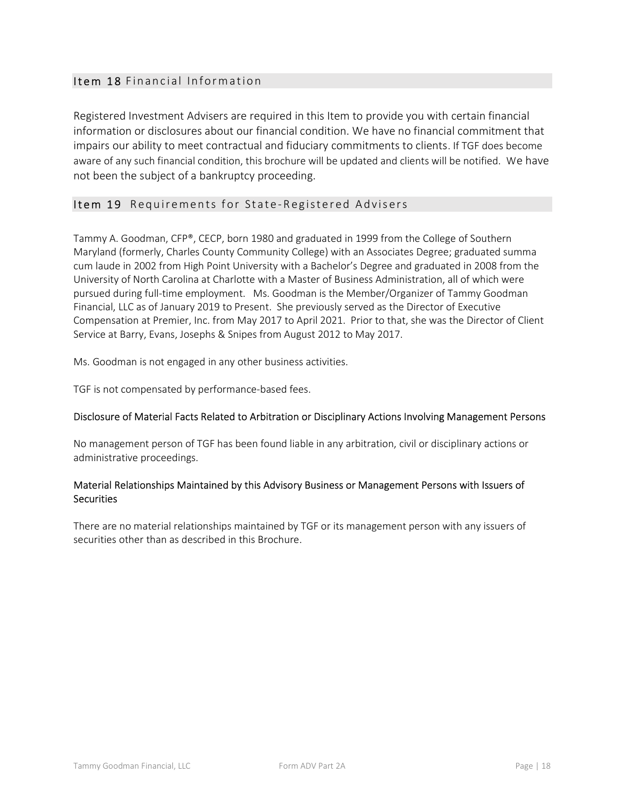### Item 18 Financial Information

Registered Investment Advisers are required in this Item to provide you with certain financial information or disclosures about our financial condition. We have no financial commitment that impairs our ability to meet contractual and fiduciary commitments to clients. If TGF does become aware of any such financial condition, this brochure will be updated and clients will be notified. We have not been the subject of a bankruptcy proceeding.

### Item 19 Requirements for State-Registered Advisers

Tammy A. Goodman, CFP®, CECP, born 1980 and graduated in 1999 from the College of Southern Maryland (formerly, Charles County Community College) with an Associates Degree; graduated summa cum laude in 2002 from High Point University with a Bachelor's Degree and graduated in 2008 from the University of North Carolina at Charlotte with a Master of Business Administration, all of which were pursued during full-time employment. Ms. Goodman is the Member/Organizer of Tammy Goodman Financial, LLC as of January 2019 to Present. She previously served as the Director of Executive Compensation at Premier, Inc. from May 2017 to April 2021. Prior to that, she was the Director of Client Service at Barry, Evans, Josephs & Snipes from August 2012 to May 2017.

Ms. Goodman is not engaged in any other business activities.

TGF is not compensated by performance-based fees.

### Disclosure of Material Facts Related to Arbitration or Disciplinary Actions Involving Management Persons

No management person of TGF has been found liable in any arbitration, civil or disciplinary actions or administrative proceedings.

### Material Relationships Maintained by this Advisory Business or Management Persons with Issuers of **Securities**

There are no material relationships maintained by TGF or its management person with any issuers of securities other than as described in this Brochure.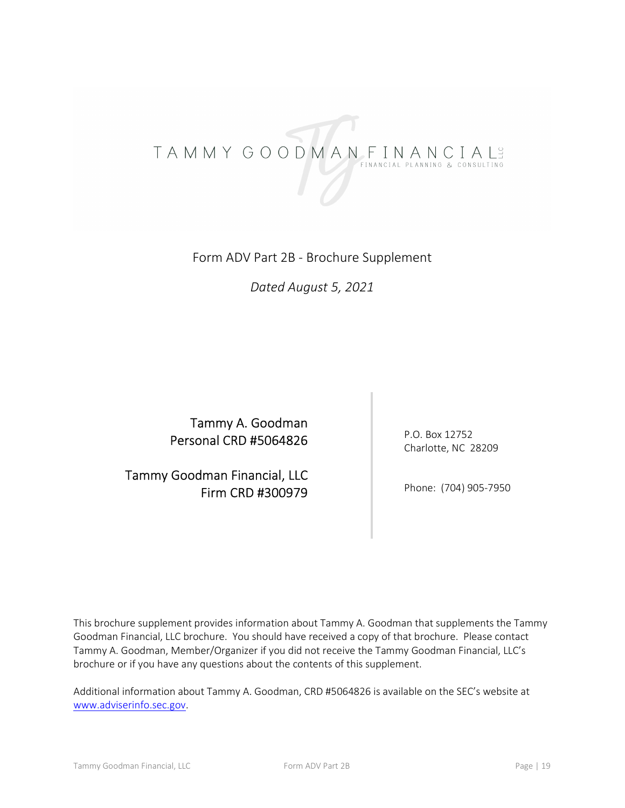# TAMMY GOODMANFINANCIALS

## Form ADV Part 2B - Brochure Supplement

### Dated August 5, 2021

Tammy A. Goodman Personal CRD #5064826

Tammy Goodman Financial, LLC Firm CRD #300979 P.O. Box 12752 Charlotte, NC 28209

Phone: (704) 905-7950

This brochure supplement provides information about Tammy A. Goodman that supplements the Tammy Goodman Financial, LLC brochure. You should have received a copy of that brochure. Please contact Tammy A. Goodman, Member/Organizer if you did not receive the Tammy Goodman Financial, LLC's brochure or if you have any questions about the contents of this supplement.

Additional information about Tammy A. Goodman, CRD #5064826 is available on the SEC's website at www.adviserinfo.sec.gov.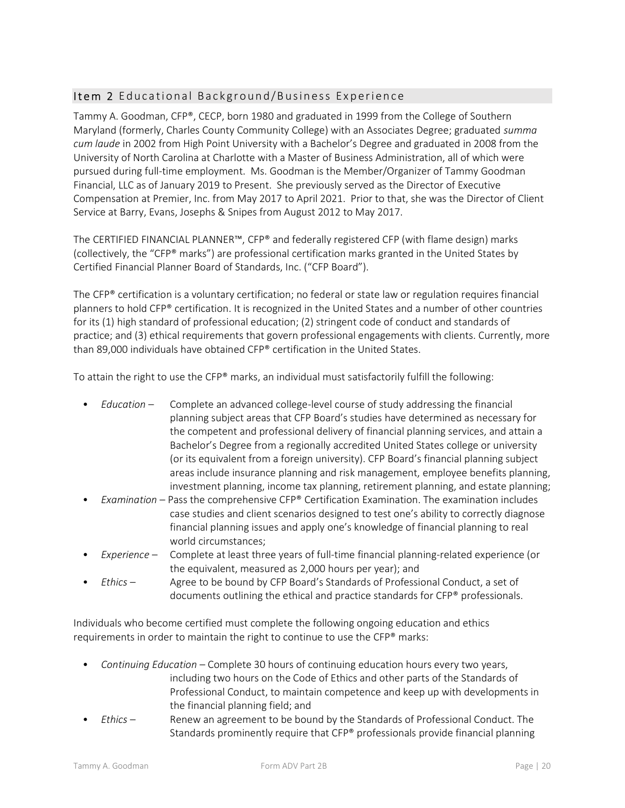### Item 2 Educational Background/Business Experience

Tammy A. Goodman, CFP®, CECP, born 1980 and graduated in 1999 from the College of Southern Maryland (formerly, Charles County Community College) with an Associates Degree; graduated summa cum laude in 2002 from High Point University with a Bachelor's Degree and graduated in 2008 from the University of North Carolina at Charlotte with a Master of Business Administration, all of which were pursued during full-time employment. Ms. Goodman is the Member/Organizer of Tammy Goodman Financial, LLC as of January 2019 to Present. She previously served as the Director of Executive Compensation at Premier, Inc. from May 2017 to April 2021. Prior to that, she was the Director of Client Service at Barry, Evans, Josephs & Snipes from August 2012 to May 2017.

The CERTIFIED FINANCIAL PLANNER™, CFP® and federally registered CFP (with flame design) marks (collectively, the "CFP® marks") are professional certification marks granted in the United States by Certified Financial Planner Board of Standards, Inc. ("CFP Board").

The CFP® certification is a voluntary certification; no federal or state law or regulation requires financial planners to hold CFP® certification. It is recognized in the United States and a number of other countries for its (1) high standard of professional education; (2) stringent code of conduct and standards of practice; and (3) ethical requirements that govern professional engagements with clients. Currently, more than 89,000 individuals have obtained CFP® certification in the United States.

To attain the right to use the CFP® marks, an individual must satisfactorily fulfill the following:

- Education Complete an advanced college-level course of study addressing the financial planning subject areas that CFP Board's studies have determined as necessary for the competent and professional delivery of financial planning services, and attain a Bachelor's Degree from a regionally accredited United States college or university (or its equivalent from a foreign university). CFP Board's financial planning subject areas include insurance planning and risk management, employee benefits planning, investment planning, income tax planning, retirement planning, and estate planning;
- Examination Pass the comprehensive  $CFP^{\otimes}$  Certification Examination. The examination includes case studies and client scenarios designed to test one's ability to correctly diagnose financial planning issues and apply one's knowledge of financial planning to real world circumstances;
- Experience Complete at least three years of full-time financial planning-related experience (or the equivalent, measured as 2,000 hours per year); and
- Ethics Agree to be bound by CFP Board's Standards of Professional Conduct, a set of documents outlining the ethical and practice standards for CFP® professionals.

Individuals who become certified must complete the following ongoing education and ethics requirements in order to maintain the right to continue to use the CFP® marks:

- Continuing Education Complete 30 hours of continuing education hours every two years, including two hours on the Code of Ethics and other parts of the Standards of Professional Conduct, to maintain competence and keep up with developments in the financial planning field; and
- Ethics Renew an agreement to be bound by the Standards of Professional Conduct. The Standards prominently require that CFP® professionals provide financial planning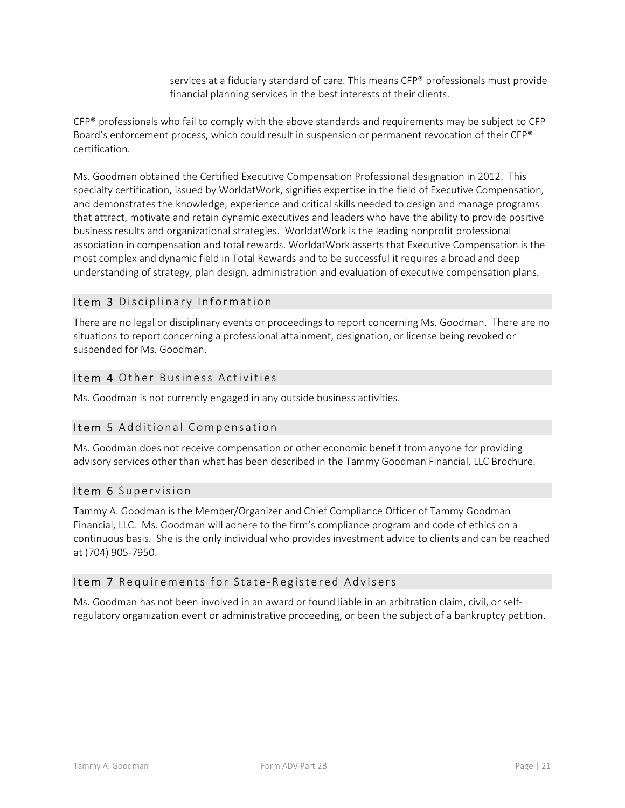services at a fiduciary standard of care. This means CFP® professionals must provide financial planning services in the best interests of their clients.

CFP® professionals who fail to comply with the above standards and requirements may be subject to CFP Board's enforcement process, which could result in suspension or permanent revocation of their CFP® certification.

Ms. Goodman obtained the Certified Executive Compensation Professional designation in 2012. This specialty certification, issued by WorldatWork, signifies expertise in the field of Executive Compensation, and demonstrates the knowledge, experience and critical skills needed to design and manage programs that attract, motivate and retain dynamic executives and leaders who have the ability to provide positive business results and organizational strategies. WorldatWork is the leading nonprofit professional association in compensation and total rewards. WorldatWork asserts that Executive Compensation is the most complex and dynamic field in Total Rewards and to be successful it requires a broad and deep understanding of strategy, plan design, administration and evaluation of executive compensation plans.

### Item 3 Disciplinary Information

There are no legal or disciplinary events or proceedings to report concerning Ms. Goodman. There are no situations to report concerning a professional attainment, designation, or license being revoked or suspended for Ms. Goodman.

### Item 4 Other Business Activities

Ms. Goodman is not currently engaged in any outside business activities.

### Item 5 Additional Compensation

Ms. Goodman does not receive compensation or other economic benefit from anyone for providing advisory services other than what has been described in the Tammy Goodman Financial, LLC Brochure.

### Item 6 Supervision

Tammy A. Goodman is the Member/Organizer and Chief Compliance Officer of Tammy Goodman Financial, LLC. Ms. Goodman will adhere to the firm's compliance program and code of ethics on a continuous basis. She is the only individual who provides investment advice to clients and can be reached at (704) 905-7950.

### Item 7 Requirements for State-Registered Advisers

Ms. Goodman has not been involved in an award or found liable in an arbitration claim, civil, or selfregulatory organization event or administrative proceeding, or been the subject of a bankruptcy petition.